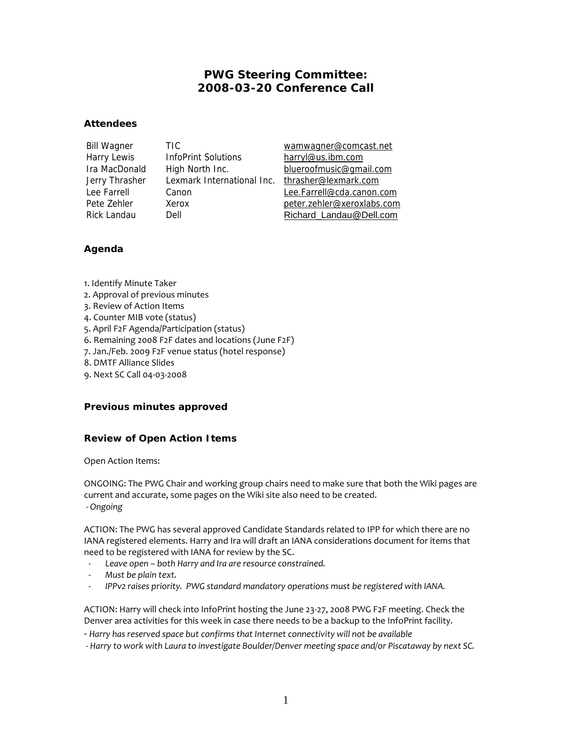# **PWG Steering Committee: 2008-03-20 Conference Call**

#### **Attendees**

Harry Lewis InfoPrint Solutions harryl@us.ibm.com Jerry Thrasher Lexmark International Inc. thrasher@lexmark.com

Bill Wagner TIC wamwagner@comcast.net Ira MacDonald High North Inc. blueroofmusic@gmail.com Lee Farrell Canon Lee.Farrell@cda.canon.com Pete Zehler Xerox Xerox peter.zehler@xeroxlabs.com Rick Landau Dell Dell Richard Landau@Dell.com

## **Agenda**

1. Identify Minute Taker

- 2. Approval of previous minutes
- 3. Review of Action Items
- 4. Counter MIB vote (status)
- 5. April F2F Agenda/Participation (status)
- 6. Remaining 2008 F2F dates and locations (June F2F)
- 7. Jan./Feb. 2009 F2F venue status (hotel response)
- 8. DMTF Alliance Slides
- 9. Next SC Call 04-03-2008

### **Previous minutes approved**

## **Review of Open Action Items**

Open Action Items:

ONGOING: The PWG Chair and working group chairs need to make sure that both the Wiki pages are current and accurate, some pages on the Wiki site also need to be created.  *- Ongoing*

ACTION: The PWG has several approved Candidate Standards related to IPP for which there are no IANA registered elements. Harry and Ira will draft an IANA considerations document for items that need to be registered with IANA for review by the SC.

- *Leave open both Harry and Ira are resource constrained.*
- *Must be plain text.*
- *IPPv2 raises priority. PWG standard mandatory operations must be registered with IANA.*

ACTION: Harry will check into InfoPrint hosting the June 23-27, 2008 PWG F2F meeting. Check the Denver area activities for this week in case there needs to be a backup to the InfoPrint facility.

- *Harry has reserved space but confirms that Internet connectivity will not be available*
- *Harry to work with Laura to investigate Boulder/Denver meeting space and/or Piscataway by next SC.*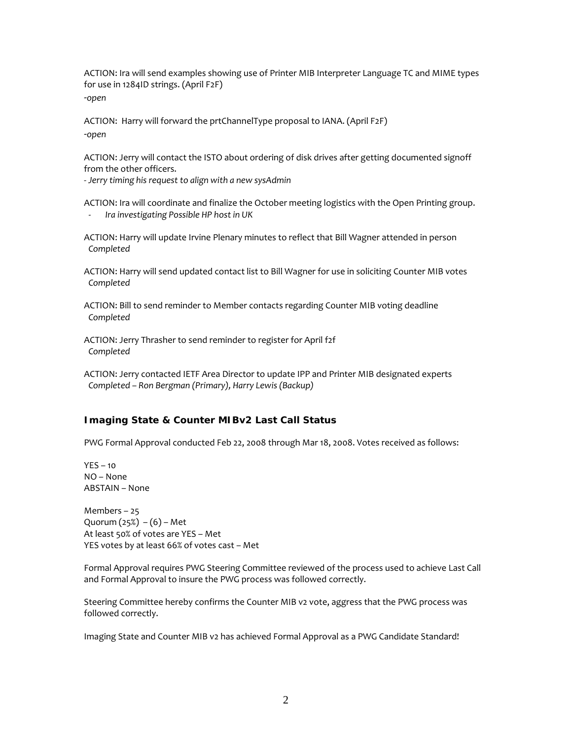ACTION: Ira will send examples showing use of Printer MIB Interpreter Language TC and MIME types for use in 1284ID strings. (April F2F) -*open*

ACTION: Harry will forward the prtChannelType proposal to IANA. (April F2F) -*open*

ACTION: Jerry will contact the ISTO about ordering of disk drives after getting documented signoff from the other officers.

- *Jerry timing his request to align with a new sysAdmin* 

ACTION: Ira will coordinate and finalize the October meeting logistics with the Open Printing group. - *Ira investigating Possible HP host in UK* 

ACTION: Harry will update Irvine Plenary minutes to reflect that Bill Wagner attended in person *Completed* 

ACTION: Harry will send updated contact list to Bill Wagner for use in soliciting Counter MIB votes *Completed* 

ACTION: Bill to send reminder to Member contacts regarding Counter MIB voting deadline *Completed* 

ACTION: Jerry Thrasher to send reminder to register for April f2f *Completed* 

ACTION: Jerry contacted IETF Area Director to update IPP and Printer MIB designated experts *Completed – Ron Bergman (Primary), Harry Lewis (Backup)* 

### **Imaging State & Counter MIBv2 Last Call Status**

PWG Formal Approval conducted Feb 22, 2008 through Mar 18, 2008. Votes received as follows:

 $YFS - 10$ NO – None ABSTAIN – None

Members – 25 Quorum  $(25%) - (6) - Met$ At least 50% of votes are YES – Met YES votes by at least 66% of votes cast – Met

Formal Approval requires PWG Steering Committee reviewed of the process used to achieve Last Call and Formal Approval to insure the PWG process was followed correctly.

Steering Committee hereby confirms the Counter MIB v2 vote, aggress that the PWG process was followed correctly.

Imaging State and Counter MIB v2 has achieved Formal Approval as a PWG Candidate Standard!